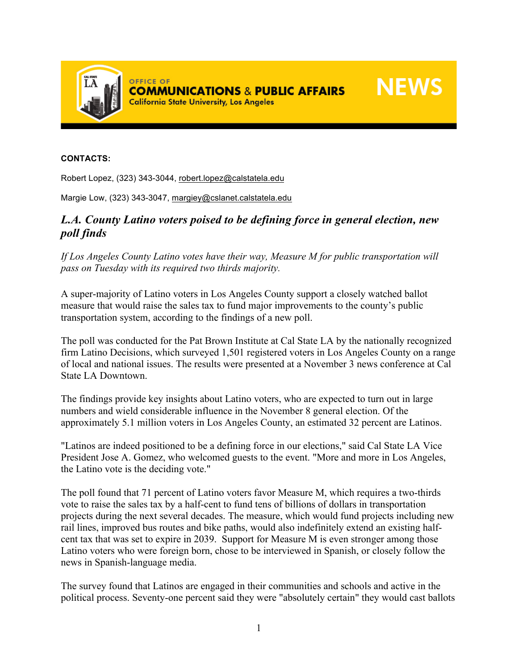

## **CONTACTS:**

Robert Lopez, (323) 343-3044, robert.lopez@calstatela.edu

Margie Low, (323) 343-3047, margiey@cslanet.calstatela.edu

## *L.A. County Latino voters poised to be defining force in general election, new poll finds*

*If Los Angeles County Latino votes have their way, Measure M for public transportation will pass on Tuesday with its required two thirds majority.* 

A super-majority of Latino voters in Los Angeles County support a closely watched ballot measure that would raise the sales tax to fund major improvements to the county's public transportation system, according to the findings of a new poll.

The poll was conducted for the Pat Brown Institute at Cal State LA by the nationally recognized firm Latino Decisions, which surveyed 1,501 registered voters in Los Angeles County on a range of local and national issues. The results were presented at a November 3 news conference at Cal State LA Downtown.

The findings provide key insights about Latino voters, who are expected to turn out in large numbers and wield considerable influence in the November 8 general election. Of the approximately 5.1 million voters in Los Angeles County, an estimated 32 percent are Latinos.

"Latinos are indeed positioned to be a defining force in our elections," said Cal State LA Vice President Jose A. Gomez, who welcomed guests to the event. "More and more in Los Angeles, the Latino vote is the deciding vote."

The poll found that 71 percent of Latino voters favor Measure M, which requires a two-thirds vote to raise the sales tax by a half-cent to fund tens of billions of dollars in transportation projects during the next several decades. The measure, which would fund projects including new rail lines, improved bus routes and bike paths, would also indefinitely extend an existing halfcent tax that was set to expire in 2039. Support for Measure M is even stronger among those Latino voters who were foreign born, chose to be interviewed in Spanish, or closely follow the news in Spanish-language media.

The survey found that Latinos are engaged in their communities and schools and active in the political process. Seventy-one percent said they were "absolutely certain" they would cast ballots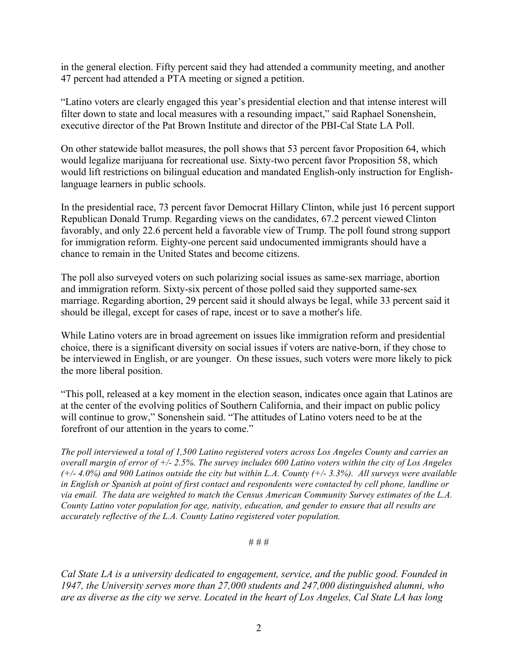in the general election. Fifty percent said they had attended a community meeting, and another 47 percent had attended a PTA meeting or signed a petition.

"Latino voters are clearly engaged this year's presidential election and that intense interest will filter down to state and local measures with a resounding impact," said Raphael Sonenshein, executive director of the Pat Brown Institute and director of the PBI-Cal State LA Poll.

On other statewide ballot measures, the poll shows that 53 percent favor Proposition 64, which would legalize marijuana for recreational use. Sixty-two percent favor Proposition 58, which would lift restrictions on bilingual education and mandated English-only instruction for Englishlanguage learners in public schools.

In the presidential race, 73 percent favor Democrat Hillary Clinton, while just 16 percent support Republican Donald Trump. Regarding views on the candidates, 67.2 percent viewed Clinton favorably, and only 22.6 percent held a favorable view of Trump. The poll found strong support for immigration reform. Eighty-one percent said undocumented immigrants should have a chance to remain in the United States and become citizens.

The poll also surveyed voters on such polarizing social issues as same-sex marriage, abortion and immigration reform. Sixty-six percent of those polled said they supported same-sex marriage. Regarding abortion, 29 percent said it should always be legal, while 33 percent said it should be illegal, except for cases of rape, incest or to save a mother's life.

While Latino voters are in broad agreement on issues like immigration reform and presidential choice, there is a significant diversity on social issues if voters are native-born, if they chose to be interviewed in English, or are younger. On these issues, such voters were more likely to pick the more liberal position.

"This poll, released at a key moment in the election season, indicates once again that Latinos are at the center of the evolving politics of Southern California, and their impact on public policy will continue to grow," Sonenshein said. "The attitudes of Latino voters need to be at the forefront of our attention in the years to come."

*The poll interviewed a total of 1,500 Latino registered voters across Los Angeles County and carries an* overall margin of error of  $+/- 2.5\%$ . The survey includes 600 Latino voters within the city of Los Angeles  $(+/- 4.0%)$  and 900 Latinos outside the city but within L.A. County  $(+/- 3.3%)$ . All surveys were available in English or Spanish at point of first contact and respondents were contacted by cell phone, landline or *via email. The data are weighted to match the Census American Community Survey estimates of the L.A. County Latino voter population for age, nativity, education, and gender to ensure that all results are accurately reflective of the L.A. County Latino registered voter population.*

# # #

*Cal State LA is a university dedicated to engagement, service, and the public good. Founded in 1947, the University serves more than 27,000 students and 247,000 distinguished alumni, who* are as diverse as the city we serve. Located in the heart of Los Angeles, Cal State LA has long